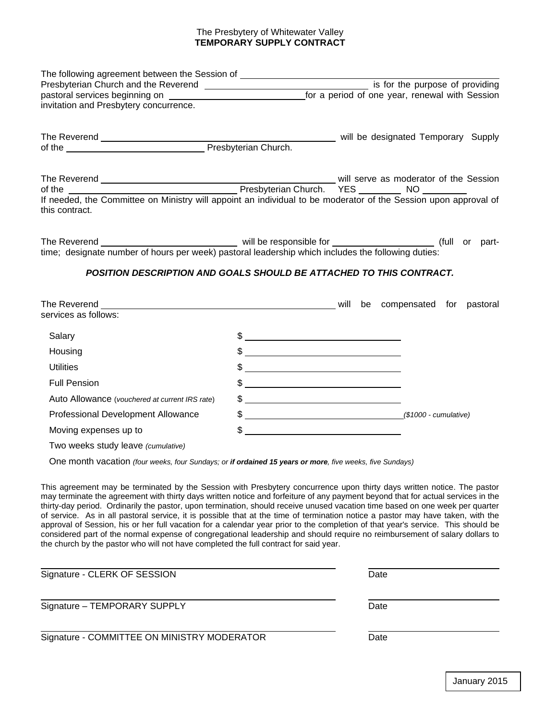## The Presbytery of Whitewater Valley **TEMPORARY SUPPLY CONTRACT**

| The following agreement between the Session of _________________________________                                                  |                                                                                                                                                                                                                                                                                                                     |                                     |
|-----------------------------------------------------------------------------------------------------------------------------------|---------------------------------------------------------------------------------------------------------------------------------------------------------------------------------------------------------------------------------------------------------------------------------------------------------------------|-------------------------------------|
|                                                                                                                                   |                                                                                                                                                                                                                                                                                                                     |                                     |
|                                                                                                                                   |                                                                                                                                                                                                                                                                                                                     |                                     |
| invitation and Presbytery concurrence.                                                                                            |                                                                                                                                                                                                                                                                                                                     |                                     |
|                                                                                                                                   |                                                                                                                                                                                                                                                                                                                     | will be designated Temporary Supply |
|                                                                                                                                   |                                                                                                                                                                                                                                                                                                                     |                                     |
|                                                                                                                                   |                                                                                                                                                                                                                                                                                                                     |                                     |
|                                                                                                                                   |                                                                                                                                                                                                                                                                                                                     |                                     |
| If needed, the Committee on Ministry will appoint an individual to be moderator of the Session upon approval of<br>this contract. |                                                                                                                                                                                                                                                                                                                     |                                     |
|                                                                                                                                   |                                                                                                                                                                                                                                                                                                                     |                                     |
| <b>POSITION DESCRIPTION AND GOALS SHOULD BE ATTACHED TO THIS CONTRACT.</b>                                                        |                                                                                                                                                                                                                                                                                                                     |                                     |
|                                                                                                                                   |                                                                                                                                                                                                                                                                                                                     |                                     |
| services as follows:                                                                                                              |                                                                                                                                                                                                                                                                                                                     |                                     |
| Salary                                                                                                                            | $\frac{1}{2}$ $\frac{1}{2}$ $\frac{1}{2}$ $\frac{1}{2}$ $\frac{1}{2}$ $\frac{1}{2}$ $\frac{1}{2}$ $\frac{1}{2}$ $\frac{1}{2}$ $\frac{1}{2}$ $\frac{1}{2}$ $\frac{1}{2}$ $\frac{1}{2}$ $\frac{1}{2}$ $\frac{1}{2}$ $\frac{1}{2}$ $\frac{1}{2}$ $\frac{1}{2}$ $\frac{1}{2}$ $\frac{1}{2}$ $\frac{1}{2}$ $\frac{1}{2}$ |                                     |
| Housing                                                                                                                           | $\frac{1}{2}$                                                                                                                                                                                                                                                                                                       |                                     |
| <b>Utilities</b>                                                                                                                  | $\frac{1}{2}$                                                                                                                                                                                                                                                                                                       |                                     |
| <b>Full Pension</b>                                                                                                               | $\frac{1}{2}$ $\frac{1}{2}$ $\frac{1}{2}$ $\frac{1}{2}$ $\frac{1}{2}$ $\frac{1}{2}$ $\frac{1}{2}$ $\frac{1}{2}$ $\frac{1}{2}$ $\frac{1}{2}$ $\frac{1}{2}$ $\frac{1}{2}$ $\frac{1}{2}$ $\frac{1}{2}$ $\frac{1}{2}$ $\frac{1}{2}$ $\frac{1}{2}$ $\frac{1}{2}$ $\frac{1}{2}$ $\frac{1}{2}$ $\frac{1}{2}$ $\frac{1}{2}$ |                                     |
| Auto Allowance (vouchered at current IRS rate)                                                                                    | $\frac{1}{2}$ $\frac{1}{2}$ $\frac{1}{2}$ $\frac{1}{2}$ $\frac{1}{2}$ $\frac{1}{2}$ $\frac{1}{2}$ $\frac{1}{2}$ $\frac{1}{2}$ $\frac{1}{2}$ $\frac{1}{2}$ $\frac{1}{2}$ $\frac{1}{2}$ $\frac{1}{2}$ $\frac{1}{2}$ $\frac{1}{2}$ $\frac{1}{2}$ $\frac{1}{2}$ $\frac{1}{2}$ $\frac{1}{2}$ $\frac{1}{2}$ $\frac{1}{2}$ |                                     |
| Professional Development Allowance                                                                                                |                                                                                                                                                                                                                                                                                                                     | $$$ (\$1000 - cumulative)           |
| Moving expenses up to                                                                                                             |                                                                                                                                                                                                                                                                                                                     |                                     |
| Two weeks study leave (cumulative)                                                                                                |                                                                                                                                                                                                                                                                                                                     |                                     |

One month vacation *(four weeks, four Sundays; or if ordained 15 years or more, five weeks, five Sundays)*

This agreement may be terminated by the Session with Presbytery concurrence upon thirty days written notice. The pastor may terminate the agreement with thirty days written notice and forfeiture of any payment beyond that for actual services in the thirty-day period. Ordinarily the pastor, upon termination, should receive unused vacation time based on one week per quarter of service. As in all pastoral service, it is possible that at the time of termination notice a pastor may have taken, with the approval of Session, his or her full vacation for a calendar year prior to the completion of that year's service. This should be considered part of the normal expense of congregational leadership and should require no reimbursement of salary dollars to the church by the pastor who will not have completed the full contract for said year.

| Signature - CLERK OF SESSION                | Date |  |
|---------------------------------------------|------|--|
| Signature - TEMPORARY SUPPLY                | Date |  |
| Signature - COMMITTEE ON MINISTRY MODERATOR | Date |  |